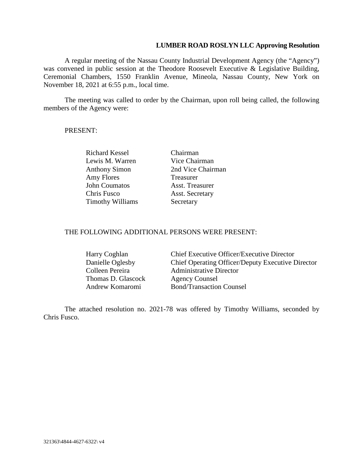## **LUMBER ROAD ROSLYN LLC Approving Resolution**

A regular meeting of the Nassau County Industrial Development Agency (the "Agency") was convened in public session at the Theodore Roosevelt Executive & Legislative Building, Ceremonial Chambers, 1550 Franklin Avenue, Mineola, Nassau County, New York on November 18, 2021 at 6:55 p.m., local time.

The meeting was called to order by the Chairman, upon roll being called, the following members of the Agency were:

## PRESENT:

Richard Kessel Chairman Lewis M. Warren Vice Chairman Amy Flores Treasurer John Coumatos Asst. Treasurer Chris Fusco Asst. Secretary Timothy Williams Secretary

Anthony Simon 2nd Vice Chairman

## THE FOLLOWING ADDITIONAL PERSONS WERE PRESENT:

| Harry Coghlan      | Chief Executive Officer/Executive Director        |
|--------------------|---------------------------------------------------|
| Danielle Oglesby   | Chief Operating Officer/Deputy Executive Director |
| Colleen Pereira    | <b>Administrative Director</b>                    |
| Thomas D. Glascock | <b>Agency Counsel</b>                             |
| Andrew Komaromi    | <b>Bond/Transaction Counsel</b>                   |

The attached resolution no. 2021-78 was offered by Timothy Williams, seconded by Chris Fusco.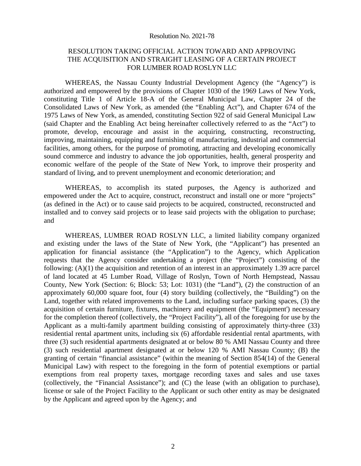### Resolution No. 2021-78

## RESOLUTION TAKING OFFICIAL ACTION TOWARD AND APPROVING THE ACQUISITION AND STRAIGHT LEASING OF A CERTAIN PROJECT FOR LUMBER ROAD ROSLYN LLC

WHEREAS, the Nassau County Industrial Development Agency (the "Agency") is authorized and empowered by the provisions of Chapter 1030 of the 1969 Laws of New York, constituting Title 1 of Article 18-A of the General Municipal Law, Chapter 24 of the Consolidated Laws of New York, as amended (the "Enabling Act"), and Chapter 674 of the 1975 Laws of New York, as amended, constituting Section 922 of said General Municipal Law (said Chapter and the Enabling Act being hereinafter collectively referred to as the "Act") to promote, develop, encourage and assist in the acquiring, constructing, reconstructing, improving, maintaining, equipping and furnishing of manufacturing, industrial and commercial facilities, among others, for the purpose of promoting, attracting and developing economically sound commerce and industry to advance the job opportunities, health, general prosperity and economic welfare of the people of the State of New York, to improve their prosperity and standard of living, and to prevent unemployment and economic deterioration; and

WHEREAS, to accomplish its stated purposes, the Agency is authorized and empowered under the Act to acquire, construct, reconstruct and install one or more "projects" (as defined in the Act) or to cause said projects to be acquired, constructed, reconstructed and installed and to convey said projects or to lease said projects with the obligation to purchase; and

WHEREAS, LUMBER ROAD ROSLYN LLC, a limited liability company organized and existing under the laws of the State of New York, (the "Applicant") has presented an application for financial assistance (the "Application") to the Agency, which Application requests that the Agency consider undertaking a project (the "Project") consisting of the following: (A)(1) the acquisition and retention of an interest in an approximately 1.39 acre parcel of land located at 45 Lumber Road, Village of Roslyn, Town of North Hempstead, Nassau County, New York (Section: 6; Block: 53; Lot: 1031) (the "Land"), (2) the construction of an approximately 60,000 square foot, four (4) story building (collectively, the "Building") on the Land, together with related improvements to the Land, including surface parking spaces, (3) the acquisition of certain furniture, fixtures, machinery and equipment (the "Equipment') necessary for the completion thereof (collectively, the "Project Facility"), all of the foregoing for use by the Applicant as a multi-family apartment building consisting of approximately thirty-three (33) residential rental apartment units, including six (6) affordable residential rental apartments, with three (3) such residential apartments designated at or below 80 % AMI Nassau County and three (3) such residential apartment designated at or below 120 % AMI Nassau County; (B) the granting of certain "financial assistance" (within the meaning of Section 854(14) of the General Municipal Law) with respect to the foregoing in the form of potential exemptions or partial exemptions from real property taxes, mortgage recording taxes and sales and use taxes (collectively, the "Financial Assistance"); and (C) the lease (with an obligation to purchase), license or sale of the Project Facility to the Applicant or such other entity as may be designated by the Applicant and agreed upon by the Agency; and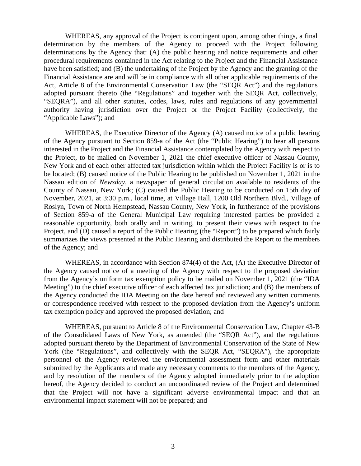WHEREAS, any approval of the Project is contingent upon, among other things, a final determination by the members of the Agency to proceed with the Project following determinations by the Agency that: (A) the public hearing and notice requirements and other procedural requirements contained in the Act relating to the Project and the Financial Assistance have been satisfied; and (B) the undertaking of the Project by the Agency and the granting of the Financial Assistance are and will be in compliance with all other applicable requirements of the Act, Article 8 of the Environmental Conservation Law (the "SEQR Act") and the regulations adopted pursuant thereto (the "Regulations" and together with the SEQR Act, collectively, "SEQRA"), and all other statutes, codes, laws, rules and regulations of any governmental authority having jurisdiction over the Project or the Project Facility (collectively, the "Applicable Laws"); and

WHEREAS, the Executive Director of the Agency (A) caused notice of a public hearing of the Agency pursuant to Section 859-a of the Act (the "Public Hearing") to hear all persons interested in the Project and the Financial Assistance contemplated by the Agency with respect to the Project, to be mailed on November 1, 2021 the chief executive officer of Nassau County, New York and of each other affected tax jurisdiction within which the Project Facility is or is to be located; (B) caused notice of the Public Hearing to be published on November 1, 2021 in the Nassau edition of *Newsday,* a newspaper of general circulation available to residents of the County of Nassau, New York; (C) caused the Public Hearing to be conducted on 15th day of November, 2021, at 3:30 p.m., local time, at Village Hall, 1200 Old Northern Blvd., Village of Roslyn, Town of North Hempstead, Nassau County, New York, in furtherance of the provisions of Section 859-a of the General Municipal Law requiring interested parties be provided a reasonable opportunity, both orally and in writing, to present their views with respect to the Project, and (D) caused a report of the Public Hearing (the "Report") to be prepared which fairly summarizes the views presented at the Public Hearing and distributed the Report to the members of the Agency; and

WHEREAS, in accordance with Section 874(4) of the Act, (A) the Executive Director of the Agency caused notice of a meeting of the Agency with respect to the proposed deviation from the Agency's uniform tax exemption policy to be mailed on November 1, 2021 (the "IDA Meeting") to the chief executive officer of each affected tax jurisdiction; and (B) the members of the Agency conducted the IDA Meeting on the date hereof and reviewed any written comments or correspondence received with respect to the proposed deviation from the Agency's uniform tax exemption policy and approved the proposed deviation; and

WHEREAS, pursuant to Article 8 of the Environmental Conservation Law, Chapter 43-B of the Consolidated Laws of New York, as amended (the "SEQR Act"), and the regulations adopted pursuant thereto by the Department of Environmental Conservation of the State of New York (the "Regulations", and collectively with the SEQR Act, "SEQRA"), the appropriate personnel of the Agency reviewed the environmental assessment form and other materials submitted by the Applicants and made any necessary comments to the members of the Agency, and by resolution of the members of the Agency adopted immediately prior to the adoption hereof, the Agency decided to conduct an uncoordinated review of the Project and determined that the Project will not have a significant adverse environmental impact and that an environmental impact statement will not be prepared; and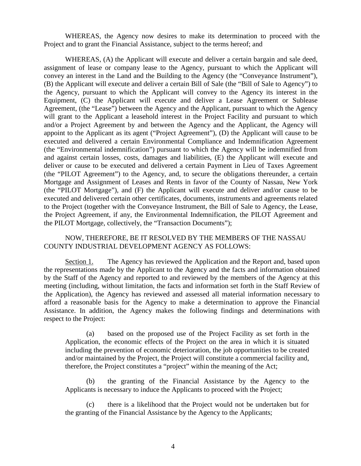WHEREAS, the Agency now desires to make its determination to proceed with the Project and to grant the Financial Assistance, subject to the terms hereof; and

WHEREAS, (A) the Applicant will execute and deliver a certain bargain and sale deed, assignment of lease or company lease to the Agency, pursuant to which the Applicant will convey an interest in the Land and the Building to the Agency (the "Conveyance Instrument"), (B) the Applicant will execute and deliver a certain Bill of Sale (the "Bill of Sale to Agency") to the Agency, pursuant to which the Applicant will convey to the Agency its interest in the Equipment, (C) the Applicant will execute and deliver a Lease Agreement or Sublease Agreement, (the "Lease") between the Agency and the Applicant, pursuant to which the Agency will grant to the Applicant a leasehold interest in the Project Facility and pursuant to which and/or a Project Agreement by and between the Agency and the Applicant, the Agency will appoint to the Applicant as its agent ("Project Agreement"), (D) the Applicant will cause to be executed and delivered a certain Environmental Compliance and Indemnification Agreement (the "Environmental indemnification") pursuant to which the Agency will be indemnified from and against certain losses, costs, damages and liabilities, (E) the Applicant will execute and deliver or cause to be executed and delivered a certain Payment in Lieu of Taxes Agreement (the "PILOT Agreement") to the Agency, and, to secure the obligations thereunder, a certain Mortgage and Assignment of Leases and Rents in favor of the County of Nassau, New York (the "PILOT Mortgage"), and (F) the Applicant will execute and deliver and/or cause to be executed and delivered certain other certificates, documents, instruments and agreements related to the Project (together with the Conveyance Instrument, the Bill of Sale to Agency, the Lease, the Project Agreement, if any, the Environmental Indemnification, the PILOT Agreement and the PILOT Mortgage, collectively, the "Transaction Documents");

## NOW, THEREFORE, BE IT RESOLVED BY THE MEMBERS OF THE NASSAU COUNTY INDUSTRIAL DEVELOPMENT AGENCY AS FOLLOWS:

Section 1. The Agency has reviewed the Application and the Report and, based upon the representations made by the Applicant to the Agency and the facts and information obtained by the Staff of the Agency and reported to and reviewed by the members of the Agency at this meeting (including, without limitation, the facts and information set forth in the Staff Review of the Application), the Agency has reviewed and assessed all material information necessary to afford a reasonable basis for the Agency to make a determination to approve the Financial Assistance. In addition, the Agency makes the following findings and determinations with respect to the Project:

(a) based on the proposed use of the Project Facility as set forth in the Application, the economic effects of the Project on the area in which it is situated including the prevention of economic deterioration, the job opportunities to be created and/or maintained by the Project, the Project will constitute a commercial facility and, therefore, the Project constitutes a "project" within the meaning of the Act;

(b) the granting of the Financial Assistance by the Agency to the Applicants is necessary to induce the Applicants to proceed with the Project;

(c) there is a likelihood that the Project would not be undertaken but for the granting of the Financial Assistance by the Agency to the Applicants;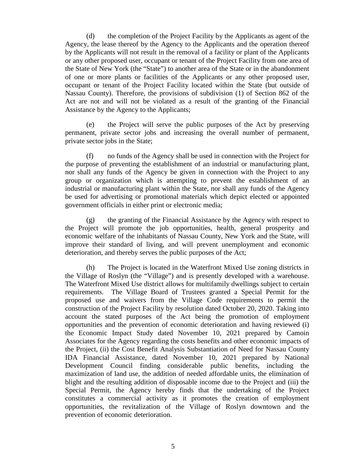(d) the completion of the Project Facility by the Applicants as agent of the Agency, the lease thereof by the Agency to the Applicants and the operation thereof by the Applicants will not result in the removal of a facility or plant of the Applicants or any other proposed user, occupant or tenant of the Project Facility from one area of the State of New York (the "State") to another area of the State or in the abandonment of one or more plants or facilities of the Applicants or any other proposed user, occupant or tenant of the Project Facility located within the State (but outside of Nassau County). Therefore, the provisions of subdivision (1) of Section 862 of the Act are not and will not be violated as a result of the granting of the Financial Assistance by the Agency to the Applicants;

(e) the Project will serve the public purposes of the Act by preserving permanent, private sector jobs and increasing the overall number of permanent, private sector jobs in the State;

(f) no funds of the Agency shall be used in connection with the Project for the purpose of preventing the establishment of an industrial or manufacturing plant, nor shall any funds of the Agency be given in connection with the Project to any group or organization which is attempting to prevent the establishment of an industrial or manufacturing plant within the State, nor shall any funds of the Agency be used for advertising or promotional materials which depict elected or appointed government officials in either print or electronic media;

(g) the granting of the Financial Assistance by the Agency with respect to the Project will promote the job opportunities, health, general prosperity and economic welfare of the inhabitants of Nassau County, New York and the State, will improve their standard of living, and will prevent unemployment and economic deterioration, and thereby serves the public purposes of the Act;

(h) The Project is located in the Waterfront Mixed Use zoning districts in the Village of Roslyn (the "Village") and is presently developed with a warehouse. The Waterfront Mixed Use district allows for multifamily dwellings subject to certain requirements. The Village Board of Trustees granted a Special Permit for the proposed use and waivers from the Village Code requirements to permit the construction of the Project Facility by resolution dated October 20, 2020. Taking into account the stated purposes of the Act being the promotion of employment opportunities and the prevention of economic deterioration and having reviewed (i) the Economic Impact Study dated November 10, 2021 prepared by Camoin Associates for the Agency regarding the costs benefits and other economic impacts of the Project, (ii) the Cost Benefit Analysis Substantiation of Need for Nassau County IDA Financial Assistance, dated November 10, 2021 prepared by National Development Council finding considerable public benefits, including the maximization of land use, the addition of needed affordable units, the elimination of blight and the resulting addition of disposable income due to the Project and (iii) the Special Permit, the Agency hereby finds that the undertaking of the Project constitutes a commercial activity as it promotes the creation of employment opportunities, the revitalization of the Village of Roslyn downtown and the prevention of economic deterioration.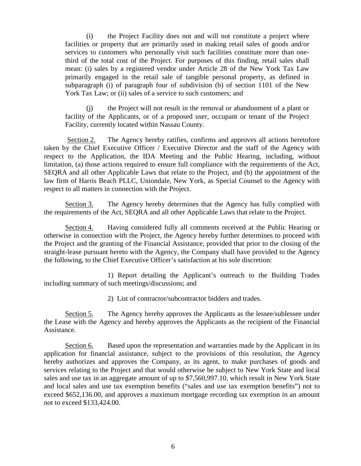(i) the Project Facility does not and will not constitute a project where facilities or property that are primarily used in making retail sales of goods and/or services to customers who personally visit such facilities constitute more than onethird of the total cost of the Project. For purposes of this finding, retail sales shall mean: (i) sales by a registered vendor under Article 28 of the New York Tax Law primarily engaged in the retail sale of tangible personal property, as defined in subparagraph (i) of paragraph four of subdivision (b) of section 1101 of the New York Tax Law; or (ii) sales of a service to such customers; and

(j) the Project will not result in the removal or abandonment of a plant or facility of the Applicants, or of a proposed user, occupant or tenant of the Project Facility, currently located within Nassau County.

Section 2. The Agency hereby ratifies, confirms and approves all actions heretofore taken by the Chief Executive Officer / Executive Director and the staff of the Agency with respect to the Application, the IDA Meeting and the Public Hearing, including, without limitation, (a) those actions required to ensure full compliance with the requirements of the Act, SEQRA and all other Applicable Laws that relate to the Project, and (b) the appointment of the law firm of Harris Beach PLLC, Uniondale, New York, as Special Counsel to the Agency with respect to all matters in connection with the Project.

Section 3. The Agency hereby determines that the Agency has fully complied with the requirements of the Act, SEQRA and all other Applicable Laws that relate to the Project.

Section 4. Having considered fully all comments received at the Public Hearing or otherwise in connection with the Project, the Agency hereby further determines to proceed with the Project and the granting of the Financial Assistance, provided that prior to the closing of the straight-lease pursuant hereto with the Agency, the Company shall have provided to the Agency the following, to the Chief Executive Officer's satisfaction at his sole discretion:

1) Report detailing the Applicant's outreach to the Building Trades including summary of such meetings/discussions; and

2) List of contractor/subcontractor bidders and trades.

Section 5. The Agency hereby approves the Applicants as the lessee/sublessee under the Lease with the Agency and hereby approves the Applicants as the recipient of the Financial Assistance.

Section 6. Based upon the representation and warranties made by the Applicant in its application for financial assistance, subject to the provisions of this resolution, the Agency hereby authorizes and approves the Company, as its agent, to make purchases of goods and services relating to the Project and that would otherwise be subject to New York State and local sales and use tax in an aggregate amount of up to \$7,560,997.10, which result in New York State and local sales and use tax exemption benefits ("sales and use tax exemption benefits") not to exceed \$652,136.00, and approves a maximum mortgage recording tax exemption in an amount not to exceed \$133,424.00.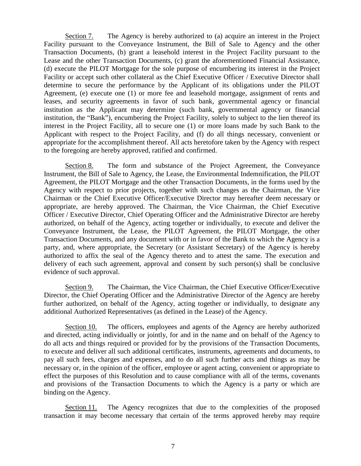Section 7. The Agency is hereby authorized to (a) acquire an interest in the Project Facility pursuant to the Conveyance Instrument, the Bill of Sale to Agency and the other Transaction Documents, (b) grant a leasehold interest in the Project Facility pursuant to the Lease and the other Transaction Documents, (c) grant the aforementioned Financial Assistance, (d) execute the PILOT Mortgage for the sole purpose of encumbering its interest in the Project Facility or accept such other collateral as the Chief Executive Officer / Executive Director shall determine to secure the performance by the Applicant of its obligations under the PILOT Agreement, (e) execute one (1) or more fee and leasehold mortgage, assignment of rents and leases, and security agreements in favor of such bank, governmental agency or financial institution as the Applicant may determine (such bank, governmental agency or financial institution, the "Bank"), encumbering the Project Facility, solely to subject to the lien thereof its interest in the Project Facility, all to secure one (1) or more loans made by such Bank to the Applicant with respect to the Project Facility, and (f) do all things necessary, convenient or appropriate for the accomplishment thereof. All acts heretofore taken by the Agency with respect to the foregoing are hereby approved, ratified and confirmed.

Section 8. The form and substance of the Project Agreement, the Conveyance Instrument, the Bill of Sale to Agency, the Lease, the Environmental Indemnification, the PILOT Agreement, the PILOT Mortgage and the other Transaction Documents, in the forms used by the Agency with respect to prior projects, together with such changes as the Chairman, the Vice Chairman or the Chief Executive Officer/Executive Director may hereafter deem necessary or appropriate, are hereby approved. The Chairman, the Vice Chairman, the Chief Executive Officer / Executive Director, Chief Operating Officer and the Administrative Director are hereby authorized, on behalf of the Agency, acting together or individually, to execute and deliver the Conveyance Instrument, the Lease, the PILOT Agreement, the PILOT Mortgage, the other Transaction Documents, and any document with or in favor of the Bank to which the Agency is a party, and, where appropriate, the Secretary (or Assistant Secretary) of the Agency is hereby authorized to affix the seal of the Agency thereto and to attest the same. The execution and delivery of each such agreement, approval and consent by such person(s) shall be conclusive evidence of such approval.

Section 9. The Chairman, the Vice Chairman, the Chief Executive Officer/Executive Director, the Chief Operating Officer and the Administrative Director of the Agency are hereby further authorized, on behalf of the Agency, acting together or individually, to designate any additional Authorized Representatives (as defined in the Lease) of the Agency.

Section 10. The officers, employees and agents of the Agency are hereby authorized and directed, acting individually or jointly, for and in the name and on behalf of the Agency to do all acts and things required or provided for by the provisions of the Transaction Documents, to execute and deliver all such additional certificates, instruments, agreements and documents, to pay all such fees, charges and expenses, and to do all such further acts and things as may be necessary or, in the opinion of the officer, employee or agent acting, convenient or appropriate to effect the purposes of this Resolution and to cause compliance with all of the terms, covenants and provisions of the Transaction Documents to which the Agency is a party or which are binding on the Agency.

Section 11. The Agency recognizes that due to the complexities of the proposed transaction it may become necessary that certain of the terms approved hereby may require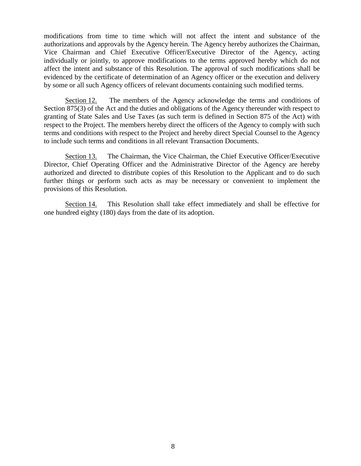modifications from time to time which will not affect the intent and substance of the authorizations and approvals by the Agency herein. The Agency hereby authorizes the Chairman, Vice Chairman and Chief Executive Officer/Executive Director of the Agency, acting individually or jointly, to approve modifications to the terms approved hereby which do not affect the intent and substance of this Resolution. The approval of such modifications shall be evidenced by the certificate of determination of an Agency officer or the execution and delivery by some or all such Agency officers of relevant documents containing such modified terms.

Section 12. The members of the Agency acknowledge the terms and conditions of Section 875(3) of the Act and the duties and obligations of the Agency thereunder with respect to granting of State Sales and Use Taxes (as such term is defined in Section 875 of the Act) with respect to the Project. The members hereby direct the officers of the Agency to comply with such terms and conditions with respect to the Project and hereby direct Special Counsel to the Agency to include such terms and conditions in all relevant Transaction Documents.

Section 13. The Chairman, the Vice Chairman, the Chief Executive Officer/Executive Director, Chief Operating Officer and the Administrative Director of the Agency are hereby authorized and directed to distribute copies of this Resolution to the Applicant and to do such further things or perform such acts as may be necessary or convenient to implement the provisions of this Resolution.

Section 14. This Resolution shall take effect immediately and shall be effective for one hundred eighty (180) days from the date of its adoption.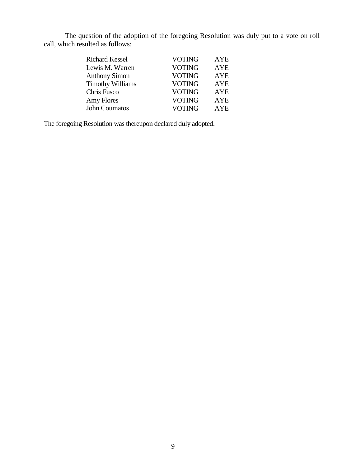The question of the adoption of the foregoing Resolution was duly put to a vote on roll call, which resulted as follows:

| <b>Richard Kessel</b>   | <b>VOTING</b> | AYE        |
|-------------------------|---------------|------------|
| Lewis M. Warren         | <b>VOTING</b> | <b>AYE</b> |
| <b>Anthony Simon</b>    | <b>VOTING</b> | <b>AYE</b> |
| <b>Timothy Williams</b> | <b>VOTING</b> | <b>AYE</b> |
| Chris Fusco             | <b>VOTING</b> | <b>AYE</b> |
| Amy Flores              | <b>VOTING</b> | <b>AYE</b> |
| <b>John Coumatos</b>    | <b>VOTING</b> | <b>AYE</b> |

The foregoing Resolution was thereupon declared duly adopted.